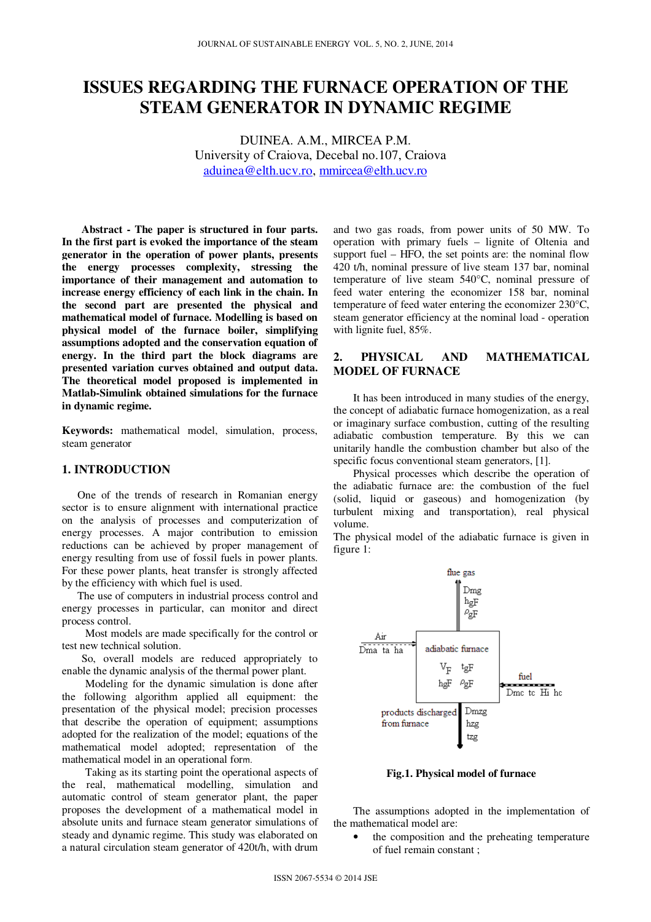# **ISSUES REGARDING THE FURNACE OPERATION OF THE STEAM GENERATOR IN DYNAMIC REGIME**

DUINEA. A.M., MIRCEA P.M. University of Craiova, Decebal no.107, Craiova aduinea@elth.ucv.ro, mmircea@elth.ucv.ro

**Abstract - The paper is structured in four parts. In the first part is evoked the importance of the steam generator in the operation of power plants, presents the energy processes complexity, stressing the importance of their management and automation to increase energy efficiency of each link in the chain. In the second part are presented the physical and mathematical model of furnace. Modelling is based on physical model of the furnace boiler, simplifying assumptions adopted and the conservation equation of energy. In the third part the block diagrams are presented variation curves obtained and output data. The theoretical model proposed is implemented in Matlab-Simulink obtained simulations for the furnace in dynamic regime.**

**Keywords:** mathematical model, simulation, process, steam generator

## **1. INTRODUCTION**

One of the trends of research in Romanian energy sector is to ensure alignment with international practice on the analysis of processes and computerization of energy processes. A major contribution to emission reductions can be achieved by proper management of energy resulting from use of fossil fuels in power plants. For these power plants, heat transfer is strongly affected by the efficiency with which fuel is used.

 The use of computers in industrial process control and energy processes in particular, can monitor and direct process control.

Most models are made specifically for the control or test new technical solution.

So, overall models are reduced appropriately to enable the dynamic analysis of the thermal power plant.

Modeling for the dynamic simulation is done after the following algorithm applied all equipment: the presentation of the physical model; precision processes that describe the operation of equipment; assumptions adopted for the realization of the model; equations of the mathematical model adopted; representation of the mathematical model in an operational form.

Taking as its starting point the operational aspects of the real, mathematical modelling, simulation and automatic control of steam generator plant, the paper proposes the development of a mathematical model in absolute units and furnace steam generator simulations of steady and dynamic regime. This study was elaborated on a natural circulation steam generator of 420t/h, with drum

and two gas roads, from power units of 50 MW. To operation with primary fuels – lignite of Oltenia and support fuel – HFO, the set points are: the nominal flow 420 t/h, nominal pressure of live steam 137 bar, nominal temperature of live steam 540°C, nominal pressure of feed water entering the economizer 158 bar, nominal temperature of feed water entering the economizer 230°C, steam generator efficiency at the nominal load - operation with lignite fuel, 85%.

# **2. PHYSICAL AND MATHEMATICAL MODEL OF FURNACE**

It has been introduced in many studies of the energy, the concept of adiabatic furnace homogenization, as a real or imaginary surface combustion, cutting of the resulting adiabatic combustion temperature. By this we can unitarily handle the combustion chamber but also of the specific focus conventional steam generators, [1].

Physical processes which describe the operation of the adiabatic furnace are: the combustion of the fuel (solid, liquid or gaseous) and homogenization (by turbulent mixing and transportation), real physical volume.

The physical model of the adiabatic furnace is given in figure 1:



**Fig.1. Physical model of furnace** 

The assumptions adopted in the implementation of the mathematical model are:

the composition and the preheating temperature of fuel remain constant ;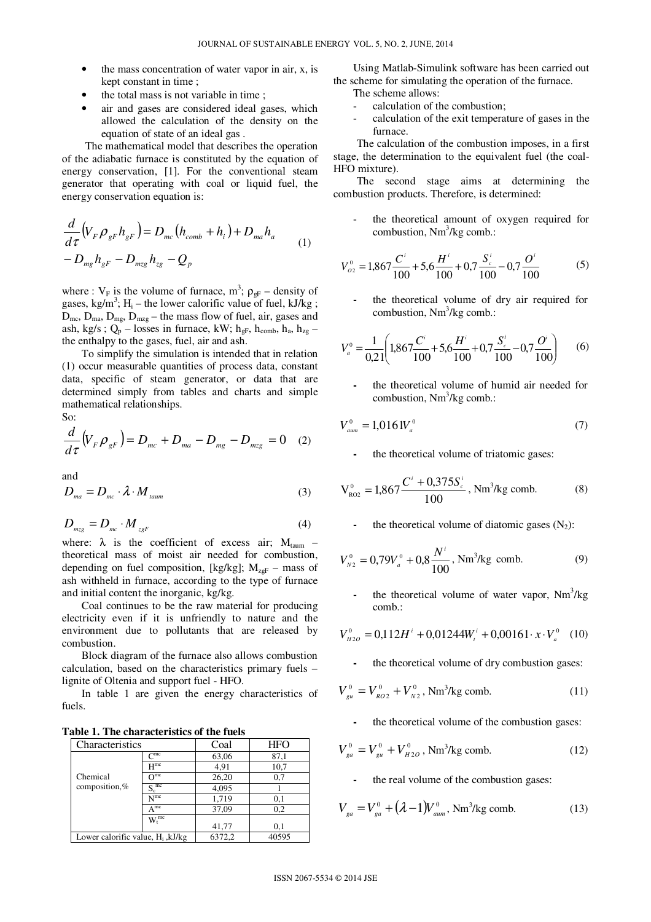- the mass concentration of water vapor in air, x, is kept constant in time ;
- the total mass is not variable in time;
- air and gases are considered ideal gases, which allowed the calculation of the density on the equation of state of an ideal gas .

The mathematical model that describes the operation of the adiabatic furnace is constituted by the equation of energy conservation, [1]. For the conventional steam generator that operating with coal or liquid fuel, the energy conservation equation is:

$$
\frac{d}{d\tau}\left(V_F \rho_{gF} h_{gF}\right) = D_{mc}\left(h_{comb} + h_i\right) + D_{ma} h_a
$$
\n
$$
-D_{mg} h_{gF} - D_{mgg} h_{gg} - Q_p
$$
\n(1)

where :  $V_F$  is the volume of furnace, m<sup>3</sup>;  $\rho_{gF}$  – density of gases, kg/m<sup>3</sup>; H<sub>i</sub> – the lower calorific value of fuel, kJ/kg;  $D_{\text{mc}}$ ,  $D_{\text{ma}}$ ,  $D_{\text{mg}}$ ,  $D_{\text{mzg}}$  – the mass flow of fuel, air, gases and ash, kg/s;  $Q_p$  – losses in furnace, kW;  $h_{gF}$ ,  $h_{comb}$ ,  $h_a$ ,  $h_{zg}$  – the enthalpy to the gases, fuel, air and ash.

To simplify the simulation is intended that in relation (1) occur measurable quantities of process data, constant data, specific of steam generator, or data that are determined simply from tables and charts and simple mathematical relationships.

So:

$$
\frac{d}{d\tau}\left(V_F \rho_{gF}\right) = D_{mc} + D_{ma} - D_{mg} - D_{mgg} = 0 \quad (2)
$$

and

$$
D_{\scriptscriptstyle ma} = D_{\scriptscriptstyle mc} \cdot \lambda \cdot M_{\scriptscriptstyle tamm} \tag{3}
$$

$$
D_{mzs} = D_{mc} \cdot M_{zsF} \tag{4}
$$

where:  $\lambda$  is the coefficient of excess air;  $M_{\text{taum}}$  – theoretical mass of moist air needed for combustion, depending on fuel composition, [kg/kg];  $M_{zgF}$  – mass of ash withheld in furnace, according to the type of furnace and initial content the inorganic, kg/kg.

Coal continues to be the raw material for producing electricity even if it is unfriendly to nature and the environment due to pollutants that are released by combustion.

Block diagram of the furnace also allows combustion calculation, based on the characteristics primary fuels – lignite of Oltenia and support fuel - HFO.

In table 1 are given the energy characteristics of fuels.

**Table 1. The characteristics of the fuels** 

| Characteristics                        |                        | Coal   | <b>HFO</b> |
|----------------------------------------|------------------------|--------|------------|
|                                        | $C$ <sup>mc</sup>      | 63,06  | 87,1       |
|                                        | $H^{mc}$               | 4,91   | 10,7       |
| Chemical                               | $\Omega$ <sub>mc</sub> | 26,20  | 0,7        |
| composition,%                          | $S_c^{\text{mc}}$      | 4,095  |            |
|                                        | N <sub>mc</sub>        | 1,719  | 0,1        |
|                                        | $A^{mc}$               | 37,09  | 0,2        |
|                                        | $W_t^{\text{mc}}$      | 41,77  | 0,1        |
| Lower calorific value, $H_i$ , $kJ/kg$ |                        | 6372,2 | 40595      |

Using Matlab-Simulink software has been carried out the scheme for simulating the operation of the furnace. The scheme allows:

- calculation of the combustion:
- calculation of the exit temperature of gases in the furnace.

The calculation of the combustion imposes, in a first stage, the determination to the equivalent fuel (the coal-HFO mixture).

The second stage aims at determining the combustion products. Therefore, is determined:

the theoretical amount of oxygen required for combustion,  $Nm^3/kg$  comb.:

$$
V_{o2}^{0} = 1,867 \frac{C^{i}}{100} + 5,6 \frac{H^{i}}{100} + 0,7 \frac{S_{c}^{i}}{100} - 0,7 \frac{O^{i}}{100}
$$
 (5)

**-** the theoretical volume of dry air required for combustion, Nm<sup>3</sup>/kg comb.:

$$
V_a^0 = \frac{1}{0.21} \left( 1.867 \frac{C^i}{100} + 5.6 \frac{H^i}{100} + 0.7 \frac{S_c^i}{100} - 0.7 \frac{O^i}{100} \right) \tag{6}
$$

**-** the theoretical volume of humid air needed for combustion, Nm<sup>3</sup>/kg comb.:

$$
V_{\text{aum}}^0 = 1.016 \, W_a^0 \tag{7}
$$

**-** the theoretical volume of triatomic gases:

$$
V_{\text{RO2}}^{0} = 1,867 \frac{C^{i} + 0,375 S_{c}^{i}}{100}, \text{Nm}^{3}/\text{kg comb.}
$$
 (8)

the theoretical volume of diatomic gases  $(N_2)$ :

$$
V_{N2}^{0} = 0.79V_{a}^{0} + 0.8 \frac{N^{i}}{100}, \text{ Nm}^{3}/\text{kg comb.}
$$
 (9)

- the theoretical volume of water vapor, Nm<sup>3</sup>/kg comb.:

$$
V_{H2O}^{0} = 0.112H^{i} + 0.01244W_{t}^{i} + 0.00161 \cdot x \cdot V_{a}^{0} \quad (10)
$$

**-** the theoretical volume of dry combustion gases:

$$
V_{gu}^0 = V_{RO2}^0 + V_{N2}^0
$$
, Nm<sup>3</sup>/kg comb. (11)

**-** the theoretical volume of the combustion gases:

$$
V_{ga}^{0} = V_{gu}^{0} + V_{H2O}^{0}
$$
, Nm<sup>3</sup>/kg comb. (12)

**-** the real volume of the combustion gases:

$$
V_{ga} = V_{ga}^{0} + (\lambda - 1)V_{aum}^{0}, \text{ Nm}^{3}/\text{kg comb.}
$$
 (13)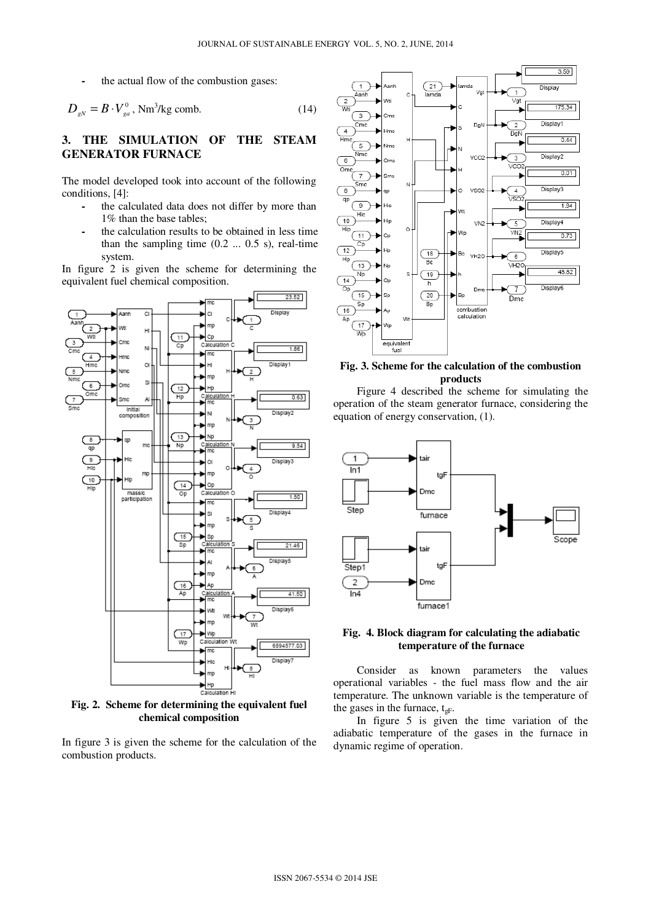**-** the actual flow of the combustion gases:

$$
D_{gN} = B \cdot V_{ga}^0, \text{Nm}^3/\text{kg comb.}
$$
 (14)

# **3. THE SIMULATION OF THE STEAM GENERATOR FURNACE**

The model developed took into account of the following conditions, [4]:

- **-** the calculated data does not differ by more than 1% than the base tables;
- **-** the calculation results to be obtained in less time than the sampling time  $(0.2 \dots 0.5 \text{ s})$ , real-time system.

In figure 2 is given the scheme for determining the equivalent fuel chemical composition.



**Fig. 2. Scheme for determining the equivalent fuel chemical composition** 

In figure 3 is given the scheme for the calculation of the combustion products.



# **Fig. 3. Scheme for the calculation of the combustion products**

 Figure 4 described the scheme for simulating the operation of the steam generator furnace, considering the equation of energy conservation, (1).



## **Fig. 4. Block diagram for calculating the adiabatic temperature of the furnace**

 Consider as known parameters the values operational variables - the fuel mass flow and the air temperature. The unknown variable is the temperature of the gases in the furnace,  $t_{\text{gF}}$ .

 In figure 5 is given the time variation of the adiabatic temperature of the gases in the furnace in dynamic regime of operation.